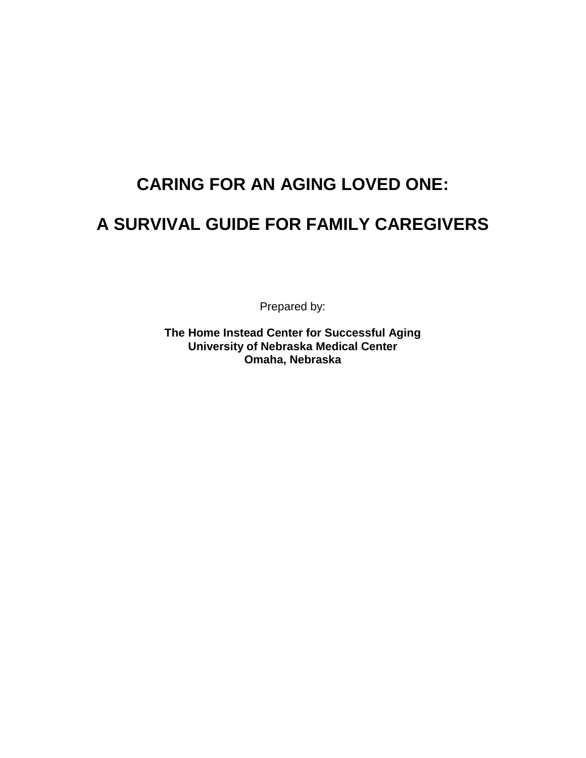# **CARING FOR AN AGING LOVED ONE:**

# **A SURVIVAL GUIDE FOR FAMILY CAREGIVERS**

Prepared by:

**The Home Instead Center for Successful Aging University of Nebraska Medical Center Omaha, Nebraska**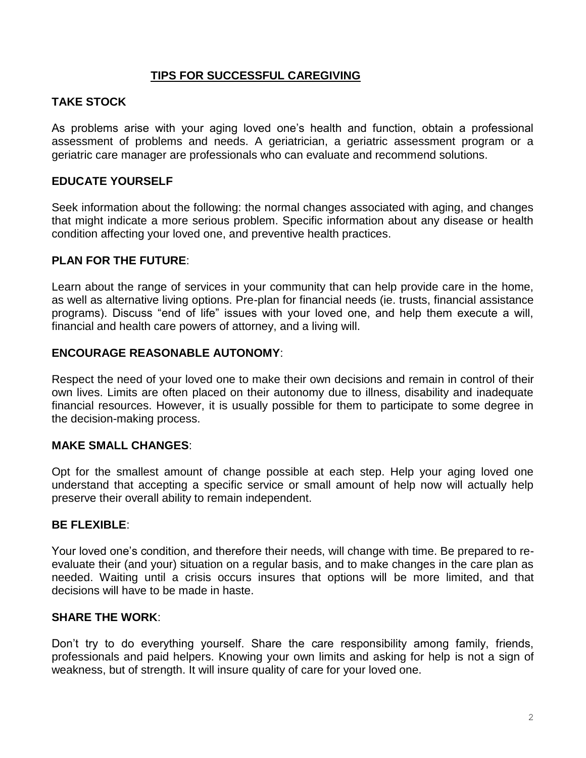# **TIPS FOR SUCCESSFUL CAREGIVING**

# **TAKE STOCK**

As problems arise with your aging loved one's health and function, obtain a professional assessment of problems and needs. A geriatrician, a geriatric assessment program or a geriatric care manager are professionals who can evaluate and recommend solutions.

# **EDUCATE YOURSELF**

Seek information about the following: the normal changes associated with aging, and changes that might indicate a more serious problem. Specific information about any disease or health condition affecting your loved one, and preventive health practices.

# **PLAN FOR THE FUTURE**:

Learn about the range of services in your community that can help provide care in the home, as well as alternative living options. Pre-plan for financial needs (ie. trusts, financial assistance programs). Discuss "end of life" issues with your loved one, and help them execute a will, financial and health care powers of attorney, and a living will.

#### **ENCOURAGE REASONABLE AUTONOMY**:

Respect the need of your loved one to make their own decisions and remain in control of their own lives. Limits are often placed on their autonomy due to illness, disability and inadequate financial resources. However, it is usually possible for them to participate to some degree in the decision-making process.

#### **MAKE SMALL CHANGES**:

Opt for the smallest amount of change possible at each step. Help your aging loved one understand that accepting a specific service or small amount of help now will actually help preserve their overall ability to remain independent.

#### **BE FLEXIBLE**:

Your loved one's condition, and therefore their needs, will change with time. Be prepared to reevaluate their (and your) situation on a regular basis, and to make changes in the care plan as needed. Waiting until a crisis occurs insures that options will be more limited, and that decisions will have to be made in haste.

#### **SHARE THE WORK**:

Don't try to do everything yourself. Share the care responsibility among family, friends, professionals and paid helpers. Knowing your own limits and asking for help is not a sign of weakness, but of strength. It will insure quality of care for your loved one.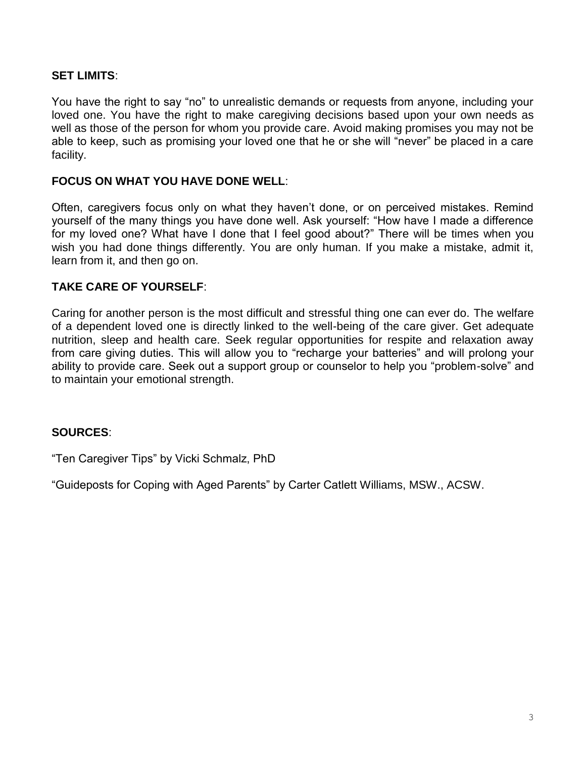## **SET LIMITS**:

You have the right to say "no" to unrealistic demands or requests from anyone, including your loved one. You have the right to make caregiving decisions based upon your own needs as well as those of the person for whom you provide care. Avoid making promises you may not be able to keep, such as promising your loved one that he or she will "never" be placed in a care facility.

# **FOCUS ON WHAT YOU HAVE DONE WELL**:

Often, caregivers focus only on what they haven't done, or on perceived mistakes. Remind yourself of the many things you have done well. Ask yourself: "How have I made a difference for my loved one? What have I done that I feel good about?" There will be times when you wish you had done things differently. You are only human. If you make a mistake, admit it, learn from it, and then go on.

# **TAKE CARE OF YOURSELF**:

Caring for another person is the most difficult and stressful thing one can ever do. The welfare of a dependent loved one is directly linked to the well-being of the care giver. Get adequate nutrition, sleep and health care. Seek regular opportunities for respite and relaxation away from care giving duties. This will allow you to "recharge your batteries" and will prolong your ability to provide care. Seek out a support group or counselor to help you "problem-solve" and to maintain your emotional strength.

#### **SOURCES**:

"Ten Caregiver Tips" by Vicki Schmalz, PhD

"Guideposts for Coping with Aged Parents" by Carter Catlett Williams, MSW., ACSW.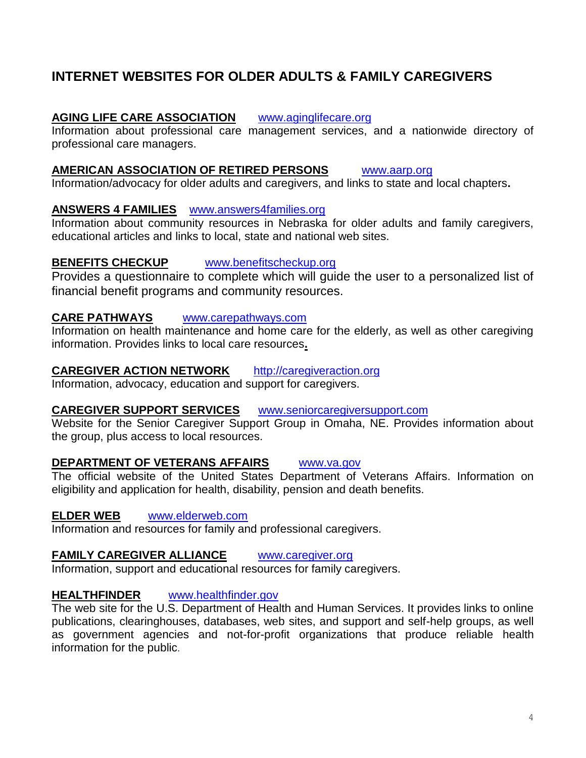# **INTERNET WEBSITES FOR OLDER ADULTS & FAMILY CAREGIVERS**

#### **AGING LIFE CARE ASSOCIATION** [www.aginglifecare.org](http://www.aginglifecare.org/)

Information about professional care management services, and a nationwide directory of professional care managers.

#### **AMERICAN ASSOCIATION OF RETIRED PERSONS** [www.aarp.org](http://www.aarp.org/)

Information/advocacy for older adults and caregivers, and links to state and local chapters**.**

#### **ANSWERS 4 FAMILIES** [www.answers4families.org](http://www.answers4families.org/)

Information about community resources in Nebraska for older adults and family caregivers, educational articles and links to local, state and national web sites.

#### **BENEFITS CHECKUP** [www.benefitscheckup.org](http://www.benefitscheckup.org/)

Provides a questionnaire to complete which will guide the user to a personalized list of financial benefit programs and community resources.

# **CARE PATHWAYS** [www.carepathways.com](http://www.carepathways.com/)

Information on health maintenance and home care for the elderly, as well as other caregiving information. Provides links to local care resources**.**

#### **CAREGIVER ACTION NETWORK** [http://caregiveraction.org](http://caregiveraction.org/)

Information, advocacy, education and support for caregivers.

#### **CAREGIVER SUPPORT SERVICES** [www.seniorcaregiversupport.com](http://www.seniorcaregiversupport.com/)

Website for the Senior Caregiver Support Group in Omaha, NE. Provides information about the group, plus access to local resources.

#### **DEPARTMENT OF VETERANS AFFAIRS** [www.va.gov](http://www.va.gov/)

The official website of the United States Department of Veterans Affairs. Information on eligibility and application for health, disability, pension and death benefits.

#### **ELDER WEB** [www.elderweb.com](http://www.elderweb.com/)

Information and resources for family and professional caregivers.

#### **FAMILY CAREGIVER ALLIANCE** [www.caregiver.org](http://www.caregiver.org/)

Information, support and educational resources for family caregivers.

#### **HEALTHFINDER** [www.healthfinder.gov](http://www.healthfinder.gov/)

The web site for the U.S. Department of Health and Human Services. It provides links to online publications, clearinghouses, databases, web sites, and support and self-help groups, as well as government agencies and not-for-profit organizations that produce reliable health information for the public.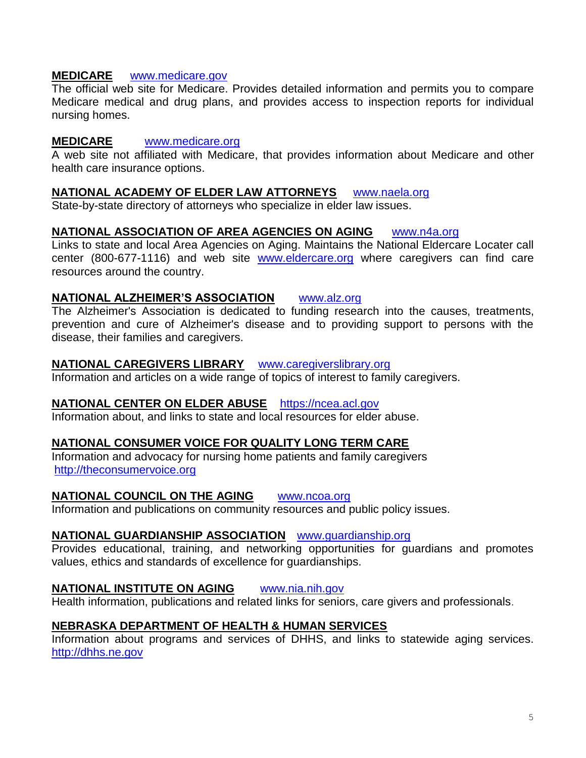#### **MEDICARE** [www.medicare.gov](http://www.medicare.gov/)

The official web site for Medicare. Provides detailed information and permits you to compare Medicare medical and drug plans, and provides access to inspection reports for individual nursing homes.

#### **MEDICARE** [www.medicare.org](http://www.medicare.org/)

A web site not affiliated with Medicare, that provides information about Medicare and other health care insurance options.

#### **NATIONAL ACADEMY OF ELDER LAW ATTORNEYS** [www.naela.org](http://www.naela.org/)

State-by-state directory of attorneys who specialize in elder law issues.

#### **NATIONAL ASSOCIATION OF AREA AGENCIES ON AGING** [www.n4a.org](http://www.n4a.org/)

Links to state and local Area Agencies on Aging. Maintains the National Eldercare Locater call center (800-677-1116) and web site [www.eldercare.org](http://www.eldercare.org/) where caregivers can find care resources around the country.

#### **NATIONAL ALZHEIMER'S ASSOCIATION** [www.alz.org](http://www.alz.org/)

The Alzheimer's Association is dedicated to funding research into the causes, treatments, prevention and cure of Alzheimer's disease and to providing support to persons with the disease, their families and caregivers.

#### **NATIONAL CAREGIVERS LIBRARY** [www.caregiverslibrary.org](http://www.caregiverslibrary.org/)

Information and articles on a wide range of topics of interest to family caregivers.

#### **NATIONAL CENTER ON ELDER ABUSE** [https://ncea.acl.gov](https://ncea.acl.gov/)

Information about, and links to state and local resources for elder abuse.

#### **NATIONAL CONSUMER VOICE FOR QUALITY LONG TERM CARE**

Information and advocacy for nursing home patients and family caregivers [http://theconsumervoice.org](http://theconsumervoice.org/)

# **NATIONAL COUNCIL ON THE AGING** [www.ncoa.org](http://www.ncoa.org/)

Information and publications on community resources and public policy issues.

#### **NATIONAL GUARDIANSHIP ASSOCIATION** [www.guardianship.org](http://www.guardianship.org/)

Provides educational, training, and networking opportunities for guardians and promotes values, ethics and standards of excellence for guardianships.

#### **NATIONAL INSTITUTE ON AGING** [www.nia.nih.gov](http://www.nia.nih.gov/)

Health information, publications and related links for seniors, care givers and professionals.

#### **NEBRASKA DEPARTMENT OF HEALTH & HUMAN SERVICES**

Information about programs and services of DHHS, and links to statewide aging services. [http://dhhs.ne.gov](http://dhhs.ne.gov/)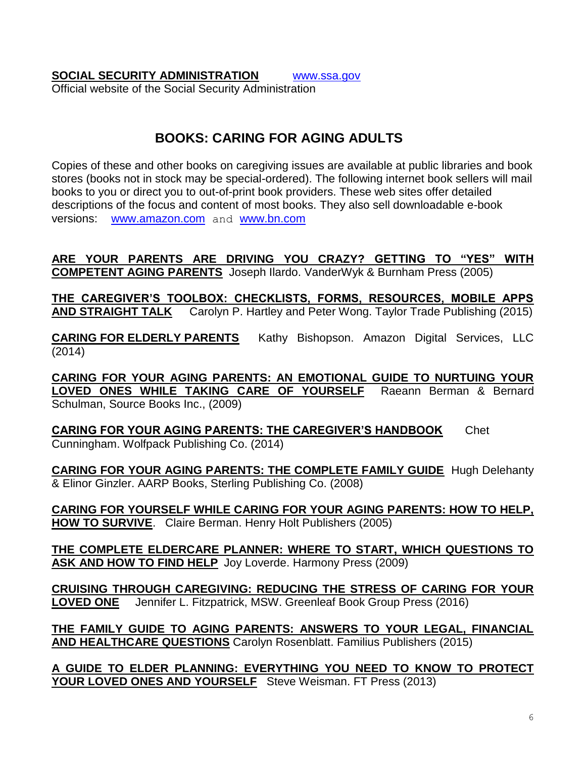**SOCIAL SECURITY ADMINISTRATION** [www.ssa.gov](http://www.ssa.gov/) Official website of the Social Security Administration

# **BOOKS: CARING FOR AGING ADULTS**

Copies of these and other books on caregiving issues are available at public libraries and book stores (books not in stock may be special-ordered). The following internet book sellers will mail books to you or direct you to out-of-print book providers. These web sites offer detailed descriptions of the focus and content of most books. They also sell downloadable e-book versions: [www.amazon.com](http://www.amazon.com/) and [www.bn.com](http://www.bn.com/)

# **ARE YOUR PARENTS ARE DRIVING YOU CRAZY? GETTING TO "YES" WITH COMPETENT AGING PARENTS** Joseph Ilardo. VanderWyk & Burnham Press (2005)

**THE CAREGIVER'S TOOLBOX: CHECKLISTS, FORMS, RESOURCES, MOBILE APPS AND STRAIGHT TALK** Carolyn P. Hartley and Peter Wong. Taylor Trade Publishing (2015)

**CARING FOR ELDERLY PARENTS** Kathy Bishopson. Amazon Digital Services, LLC (2014)

**CARING FOR YOUR AGING PARENTS: AN EMOTIONAL GUIDE TO NURTUING YOUR LOVED ONES WHILE TAKING CARE OF YOURSELF** Raeann Berman & Bernard Schulman, Source Books Inc., (2009)

**CARING FOR YOUR AGING PARENTS: THE CAREGIVER'S HANDBOOK** Chet Cunningham. Wolfpack Publishing Co. (2014)

**CARING FOR YOUR AGING PARENTS: THE COMPLETE FAMILY GUIDE** Hugh Delehanty & Elinor Ginzler. AARP Books, Sterling Publishing Co. (2008)

**CARING FOR YOURSELF WHILE CARING FOR YOUR AGING PARENTS: HOW TO HELP, HOW TO SURVIVE**. Claire Berman. Henry Holt Publishers (2005)

**THE COMPLETE ELDERCARE PLANNER: WHERE TO START, WHICH QUESTIONS TO ASK AND HOW TO FIND HELP** Joy Loverde. Harmony Press (2009)

**CRUISING THROUGH CAREGIVING: REDUCING THE STRESS OF CARING FOR YOUR LOVED ONE** Jennifer L. Fitzpatrick, MSW. Greenleaf Book Group Press (2016)

**THE FAMILY GUIDE TO AGING PARENTS: ANSWERS TO YOUR LEGAL, FINANCIAL AND HEALTHCARE QUESTIONS** Carolyn Rosenblatt. Familius Publishers (2015)

**A GUIDE TO ELDER PLANNING: EVERYTHING YOU NEED TO KNOW TO PROTECT YOUR LOVED ONES AND YOURSELF** Steve Weisman. FT Press (2013)